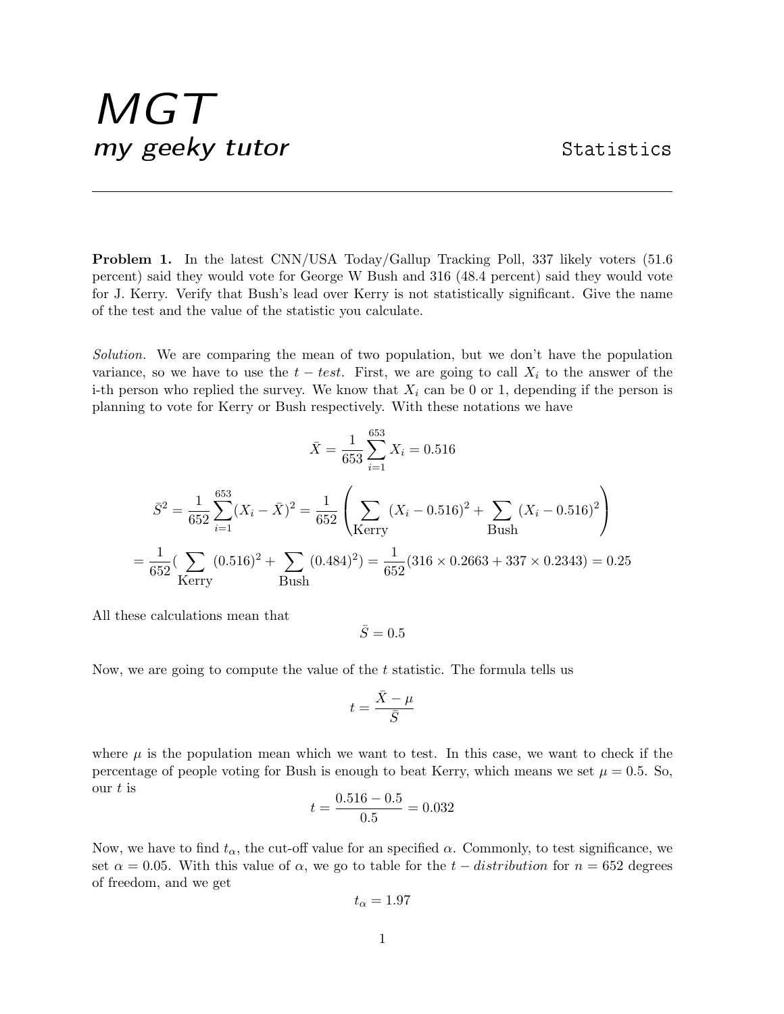## MGT my geeky tutor Statistics

Problem 1. In the latest CNN/USA Today/Gallup Tracking Poll, 337 likely voters (51.6 percent) said they would vote for George W Bush and 316 (48.4 percent) said they would vote for J. Kerry. Verify that Bush's lead over Kerry is not statistically significant. Give the name of the test and the value of the statistic you calculate.

Solution. We are comparing the mean of two population, but we don't have the population variance, so we have to use the  $t - test$ . First, we are going to call  $X_i$  to the answer of the i-th person who replied the survey. We know that  $X_i$  can be 0 or 1, depending if the person is planning to vote for Kerry or Bush respectively. With these notations we have

$$
\bar{X} = \frac{1}{653} \sum_{i=1}^{653} X_i = 0.516
$$
  

$$
\bar{S}^2 = \frac{1}{652} \sum_{i=1}^{653} (X_i - \bar{X})^2 = \frac{1}{652} \left( \sum_{\text{Kerry}} (X_i - 0.516)^2 + \sum_{\text{Bush}} (X_i - 0.516)^2 \right)
$$
  

$$
= \frac{1}{652} (\sum_{\text{Kerry}} (0.516)^2 + \sum_{\text{Bush}} (0.484)^2) = \frac{1}{652} (316 \times 0.2663 + 337 \times 0.2343) = 0.25
$$

All these calculations mean that

$$
\bar{S}=0.5
$$

Now, we are going to compute the value of the  $t$  statistic. The formula tells us

$$
t=\frac{\bar{X}-\mu}{\bar{S}}
$$

where  $\mu$  is the population mean which we want to test. In this case, we want to check if the percentage of people voting for Bush is enough to beat Kerry, which means we set  $\mu = 0.5$ . So, our  $t$  is

$$
t = \frac{0.516 - 0.5}{0.5} = 0.032
$$

Now, we have to find  $t_{\alpha}$ , the cut-off value for an specified  $\alpha$ . Commonly, to test significance, we set  $\alpha = 0.05$ . With this value of  $\alpha$ , we go to table for the  $t - distribution$  for  $n = 652$  degrees of freedom, and we get

$$
t_{\alpha}=1.97
$$